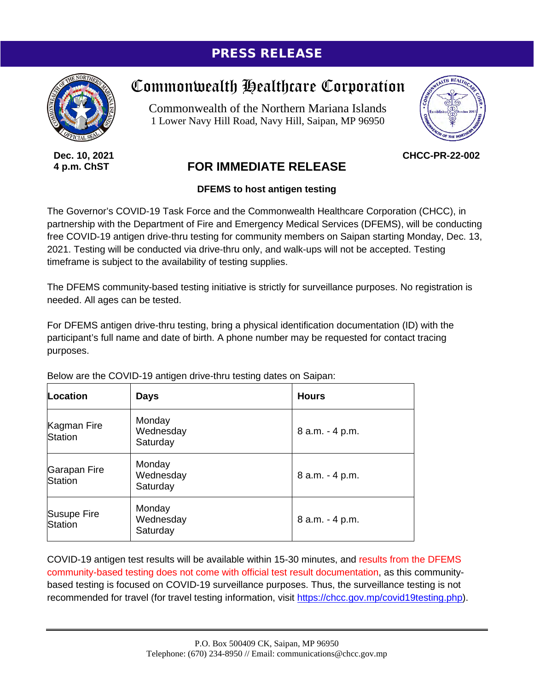## PRESS RELEASE



**Dec. 10, 2021 4 p.m. ChST**

## Commonwealth Healthcare Corporation

Commonwealth of the Northern Mariana Islands 1 Lower Navy Hill Road, Navy Hill, Saipan, MP 96950



**CHCC-PR-22-002**

## **FOR IMMEDIATE RELEASE**

## **DFEMS to host antigen testing**

The Governor's COVID-19 Task Force and the Commonwealth Healthcare Corporation (CHCC), in partnership with the Department of Fire and Emergency Medical Services (DFEMS), will be conducting free COVID-19 antigen drive-thru testing for community members on Saipan starting Monday, Dec. 13, 2021. Testing will be conducted via drive-thru only, and walk-ups will not be accepted. Testing timeframe is subject to the availability of testing supplies.

The DFEMS community-based testing initiative is strictly for surveillance purposes. No registration is needed. All ages can be tested.

For DFEMS antigen drive-thru testing, bring a physical identification documentation (ID) with the participant's full name and date of birth. A phone number may be requested for contact tracing purposes.

| Location                      | <b>Days</b>                     | <b>Hours</b>    |
|-------------------------------|---------------------------------|-----------------|
| Kagman Fire<br><b>Station</b> | Monday<br>Wednesday<br>Saturday | 8 a.m. - 4 p.m. |
| Garapan Fire<br>Station       | Monday<br>Wednesday<br>Saturday | 8 a.m. - 4 p.m. |
| <b>Susupe Fire</b><br>Station | Monday<br>Wednesday<br>Saturday | 8 a.m. - 4 p.m. |

Below are the COVID-19 antigen drive-thru testing dates on Saipan:

COVID-19 antigen test results will be available within 15-30 minutes, and results from the DFEMS community-based testing does not come with official test result documentation, as this communitybased testing is focused on COVID-19 surveillance purposes. Thus, the surveillance testing is not recommended for travel (for travel testing information, visit [https://chcc.gov.mp/covid19testing.php\)](https://chcc.gov.mp/covid19testing.php).